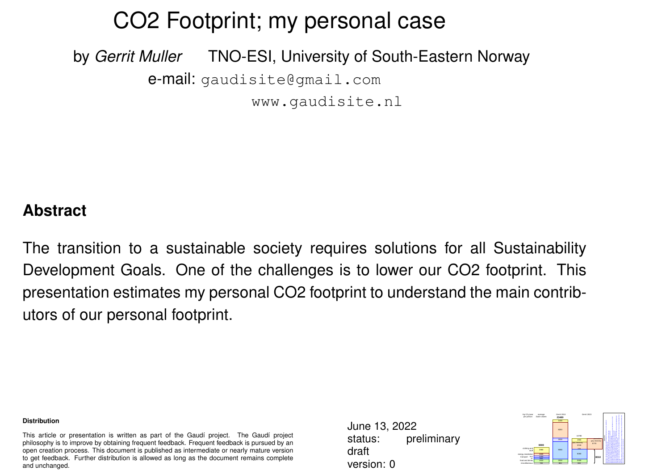### CO2 Footprint; my personal case

by *Gerrit Muller* TNO-ESI, University of South-Eastern Norway e-mail: gaudisite@gmail.com www.gaudisite.nl

### **Abstract**

The transition to a sustainable society requires solutions for all Sustainability Development Goals. One of the challenges is to lower our CO2 footprint. This presentation estimates my personal CO2 footprint to understand the main contributors of our personal footprint.

#### **Distribution**

This article or presentation is written as part of the Gaudí project. The Gaudí project philosophy is to improve by obtaining frequent feedback. Frequent feedback is pursued by an open creation process. This document is published as intermediate or nearly mature version to get feedback. Further distribution is allowed as long as the document remains complete and unchanged.

June 13, 2022 status: preliminary draft version: 0

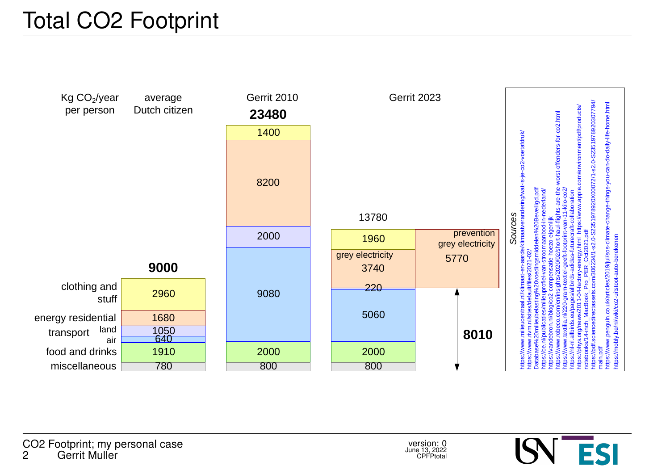# Total CO2 Footprint



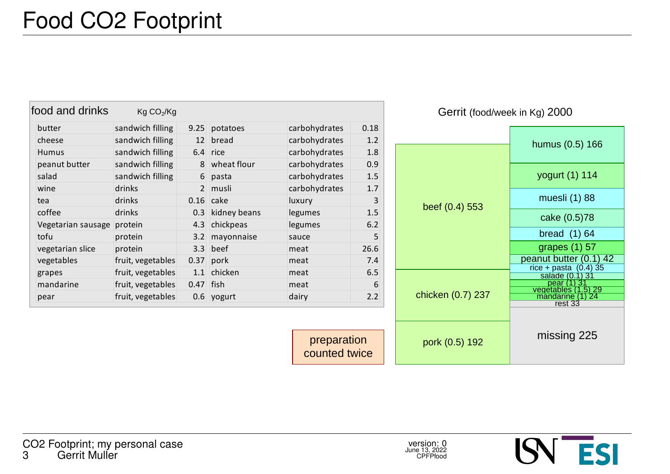| food and drinks    | Kg CO <sub>2</sub> /Kg |                 |              |               |      |
|--------------------|------------------------|-----------------|--------------|---------------|------|
| butter             | sandwich filling       | 9.25            | potatoes     | carbohydrates | 0.18 |
| cheese             | sandwich filling       | 12 <sup>2</sup> | bread        | carbohydrates | 1.2  |
| <b>Humus</b>       | sandwich filling       | 6.4             | rice         | carbohydrates | 1.8  |
| peanut butter      | sandwich filling       | 8               | wheat flour  | carbohydrates | 0.9  |
| salad              | sandwich filling       | 6               | pasta        | carbohydrates | 1.5  |
| wine               | drinks                 | $\overline{2}$  | musli        | carbohydrates | 1.7  |
| tea                | drinks                 | 0.16            | cake         | luxury        | 3    |
| coffee             | drinks                 | 0.3             | kidney beans | legumes       | 1.5  |
| Vegetarian sausage | protein                | 4.3             | chickpeas    | legumes       | 6.2  |
| tofu               | protein                | 3.2             | mayonnaise   | sauce         | 5    |
| vegetarian slice   | protein                | 3.3             | beef         | meat          | 26.6 |
| vegetables         | fruit, vegetables      | 0.37            | pork         | meat          | 7.4  |
| grapes             | fruit, vegetables      |                 | 1.1 chicken  | meat          | 6.5  |
| mandarine          | fruit, vegetables      | 0.47            | <b>lfish</b> | meat          | 6    |
| pear               | fruit, vegetables      |                 | 0.6 yogurt   | dairy         | 2.2  |

Gerrit (food/week in Kg) 2000



counted twice

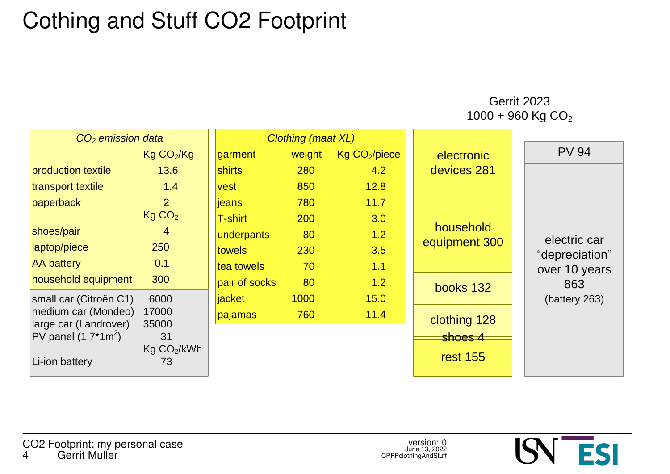Gerrit 2023 1000 + 960 Kg CO<sup>2</sup>

| CO <sub>2</sub> emission data |                               | Clothing (maat XL) |        |                           |                 |                |
|-------------------------------|-------------------------------|--------------------|--------|---------------------------|-----------------|----------------|
|                               | Kg CO <sub>2</sub> /Kg        | garment            | weight | Kg CO <sub>2</sub> /piece | electronic      | <b>PV 94</b>   |
| production textile            | 13.6                          | <b>shirts</b>      | 280    | 4.2                       | devices 281     |                |
| transport textile             | 1.4                           | vest               | 850    | 12.8                      |                 |                |
| paperback                     | $\overline{2}$                | jeans              | 780    | 11.7                      |                 |                |
|                               | Kg CO <sub>2</sub>            | T-shirt            | 200    | 3.0                       |                 |                |
| shoes/pair                    | 4                             | underpants         | 80     | 1.2                       | household       | electric car   |
| laptop/piece                  | 250                           | <b>towels</b>      | 230    | 3.5                       | equipment 300   | "depreciation" |
| <b>AA battery</b>             | 0.1                           | tea towels         | 70     | 1.1                       |                 | over 10 years  |
| household equipment           | 300                           | pair of socks      | 80     | 1.2                       | books 132       | 863            |
| small car (Citroën C1)        | 6000                          | jacket             | 1000   | 15.0                      |                 | (battery 263)  |
| medium car (Mondeo)           | 17000                         | pajamas            | 760    | 11.4                      | clothing 128    |                |
| large car (Landrover)         | 35000                         |                    |        |                           |                 |                |
| PV panel $(1.7*1m^2)$         | 31                            |                    |        |                           | shoes 4         |                |
| Li-ion battery                | Kg CO <sub>2</sub> /kWh<br>73 |                    |        |                           | <b>rest 155</b> |                |

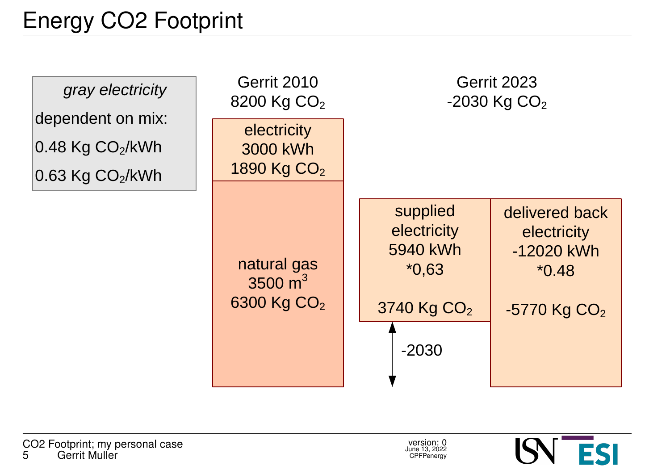

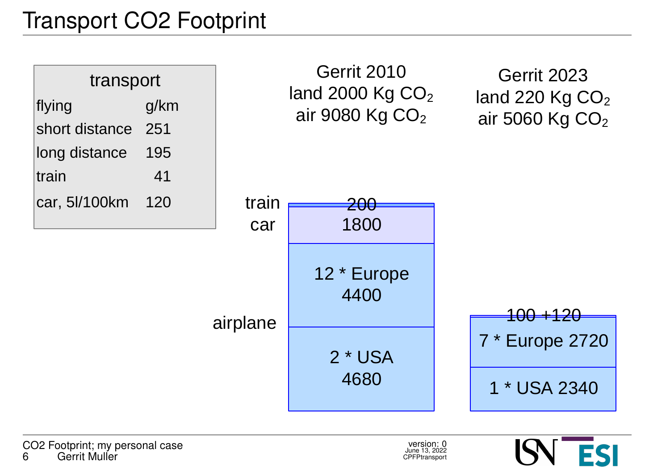## Transport CO2 Footprint